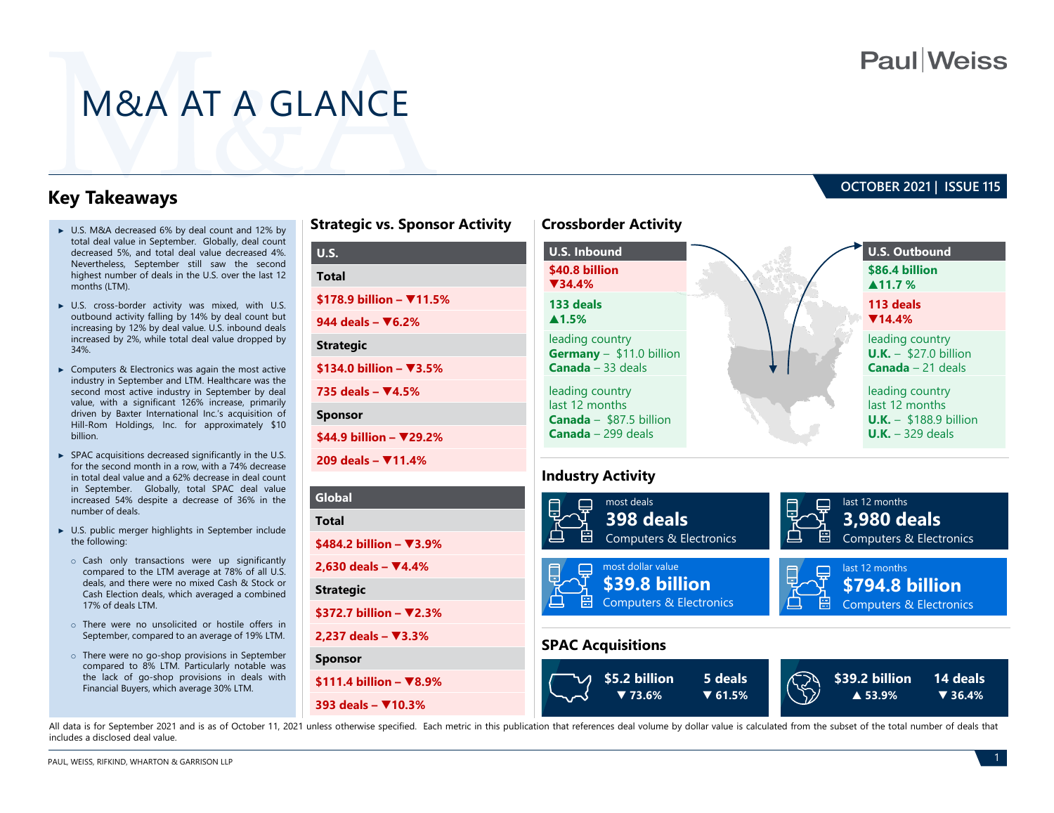# **Paul**Weiss

**OCTOBER 2021 | ISSUE 115** 

# M&A AT A GLANCE

**Strategic**

**Sponsor**

### **Key Takeaways**

- ► U.S. M&A decreased 6% by deal count and 12% by total deal value in September. Globally, deal count decreased 5%, and total deal value decreased 4%. Nevertheless, September still saw the second highest number of deals in the U.S. over the last 12 months (LTM).
- ► U.S. cross-border activity was mixed, with U.S. outbound activity falling by 14% by deal count but increasing by 12% by deal value. U.S. inbound deals increased by 2%, while total deal value dropped by 34%.
- ► Computers & Electronics was again the most active industry in September and LTM. Healthcare was the second most active industry in September by deal value, with a significant 126% increase, primarily driven by Baxter International Inc.'s acquisition of Hill-Rom Holdings, Inc. for approximately \$10 billion.
- ► SPAC acquisitions decreased significantly in the U.S. for the second month in a row, with a 74% decrease in total deal value and a 62% decrease in deal count in September. Globally, total SPAC deal value increased 54% despite a decrease of 36% in the number of deals.
- ► U.S. public merger highlights in September include the following:
	- o Cash only transactions were up significantly compared to the LTM average at 78% of all U.S. deals, and there were no mixed Cash & Stock or Cash Election deals, which averaged a combined 17% of deals LTM.
	- o There were no unsolicited or hostile offers in September, compared to an average of 19% LTM.
	- o There were no go-shop provisions in September compared to 8% LTM. Particularly notable was the lack of go-shop provisions in deals with Financial Buyers, which average 30% LTM.

| <b>Strategic vs. Sponsor Activity</b> | <b>Crossborder Activity</b>                        |
|---------------------------------------|----------------------------------------------------|
| <b>U.S.</b>                           | <b>U.S. Inbound</b>                                |
| <b>Total</b>                          | \$40.8 billion<br>$\P$ 34.4%                       |
| \$178.9 billion - $\Psi$ 11.5%        | 133 deals                                          |
| 944 deals – $\nabla$ 6.2%             | $\blacktriangle$ 1.5%                              |
| <b>Strategic</b>                      | leading country<br>Germany $-$ \$11.0 billion      |
| \$134.0 billion - ▼3.5%               | <b>Canada</b> $-33$ deals                          |
| 735 deals $ \Psi$ 4.5%                | leading country                                    |
| <b>Sponsor</b>                        | last 12 months<br><b>Canada</b> $-$ \$87.5 billion |
| \$44.9 billion – $\Psi$ 29.2%         | <b>Canada</b> $-$ 299 deals                        |
| 209 deals - ₹11.4%                    |                                                    |
|                                       | <b>Industry Activity</b>                           |
| Global                                | most deals                                         |
| Total                                 | <b>398 deals</b><br>$\cdot$ - 1                    |





All data is for September 2021 and is as of October 11, 2021 unless otherwise specified. Each metric in this publication that references deal volume by dollar value is calculated from the subset of the total number of deal includes a disclosed deal value.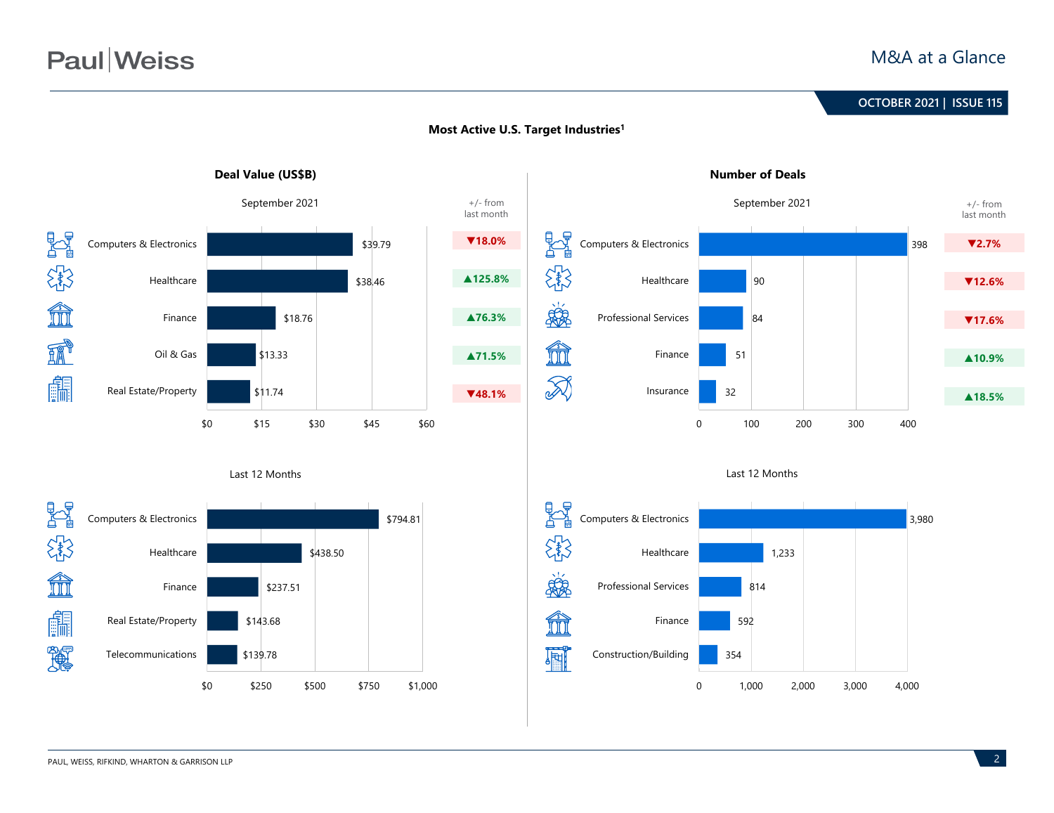# **Paul**Weiss

### M&A at a Glance

## **June 2020 | ISSUE 99 OCTOBER 2021 | ISSUE 115**



### **Most Active U.S. Target Industries1**



#### Last 12 Months





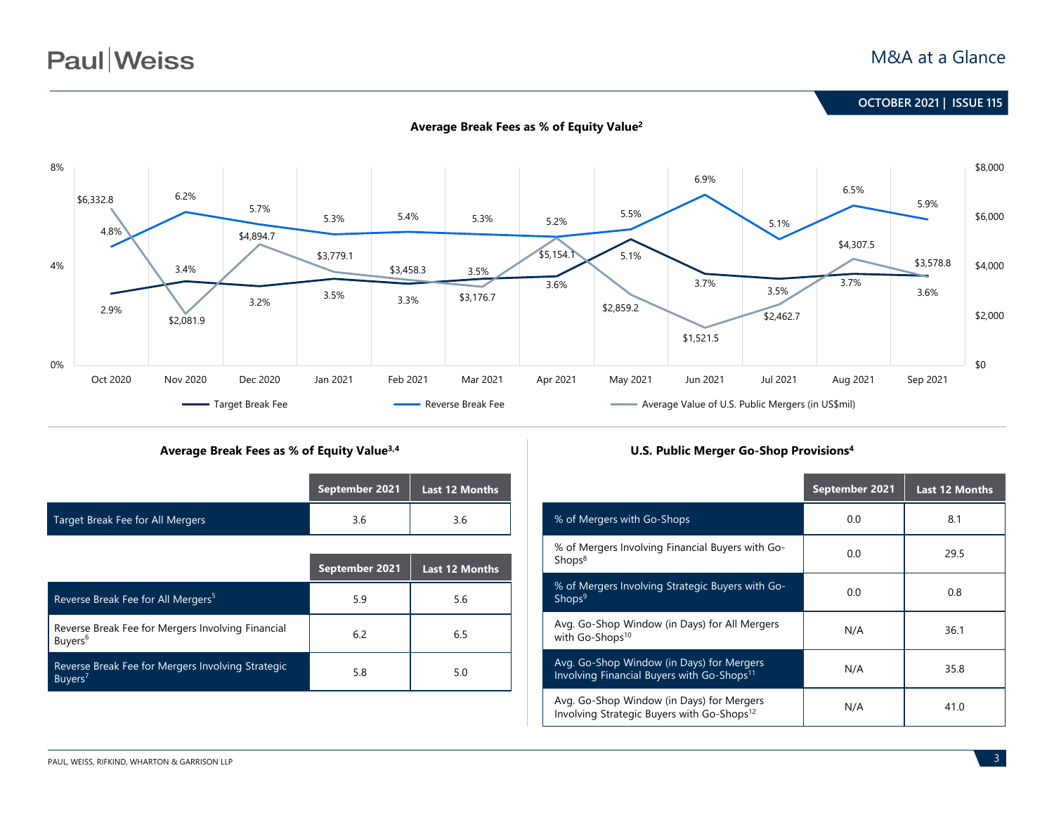# **Paul** Weiss

**June 2020 | ISSUE 99 OCTOBER 2021 | ISSUE 115**



### **Average Break Fees as % of Equity Value3,4 U.S. Public Merger Go-Shop Provisions4**

|                                  | September 2021 $\overline{ }$ Last 12 Months |     |
|----------------------------------|----------------------------------------------|-----|
| Target Break Fee for All Mergers | 3.6                                          | 3.6 |

|                                                                          | September 2021 | Last 12 Months |
|--------------------------------------------------------------------------|----------------|----------------|
| Reverse Break Fee for All Mergers <sup>5</sup>                           | 5.9            | 5.6            |
| Reverse Break Fee for Mergers Involving Financial<br>Buyers <sup>6</sup> | 6.2            | 6.5            |
| Reverse Break Fee for Mergers Involving Strategic<br>Buyers <sup>7</sup> | 5.8            | 5.0            |

|                                                                                                     | September 2021 | <b>Last 12 Months</b> |
|-----------------------------------------------------------------------------------------------------|----------------|-----------------------|
| % of Mergers with Go-Shops                                                                          | 0.0            | 8.1                   |
| % of Mergers Involving Financial Buyers with Go-<br>Shops <sup>8</sup>                              | 0.0            | 29.5                  |
| % of Mergers Involving Strategic Buyers with Go-<br>Shops <sup>9</sup>                              | 0.0            | 0.8                   |
| Avg. Go-Shop Window (in Days) for All Mergers<br>with Go-Shops <sup>10</sup>                        | N/A            | 36.1                  |
| Avg. Go-Shop Window (in Days) for Mergers<br>Involving Financial Buyers with Go-Shops <sup>11</sup> | N/A            | 35.8                  |
| Avg. Go-Shop Window (in Days) for Mergers<br>Involving Strategic Buyers with Go-Shops <sup>12</sup> | N/A            | 41.0                  |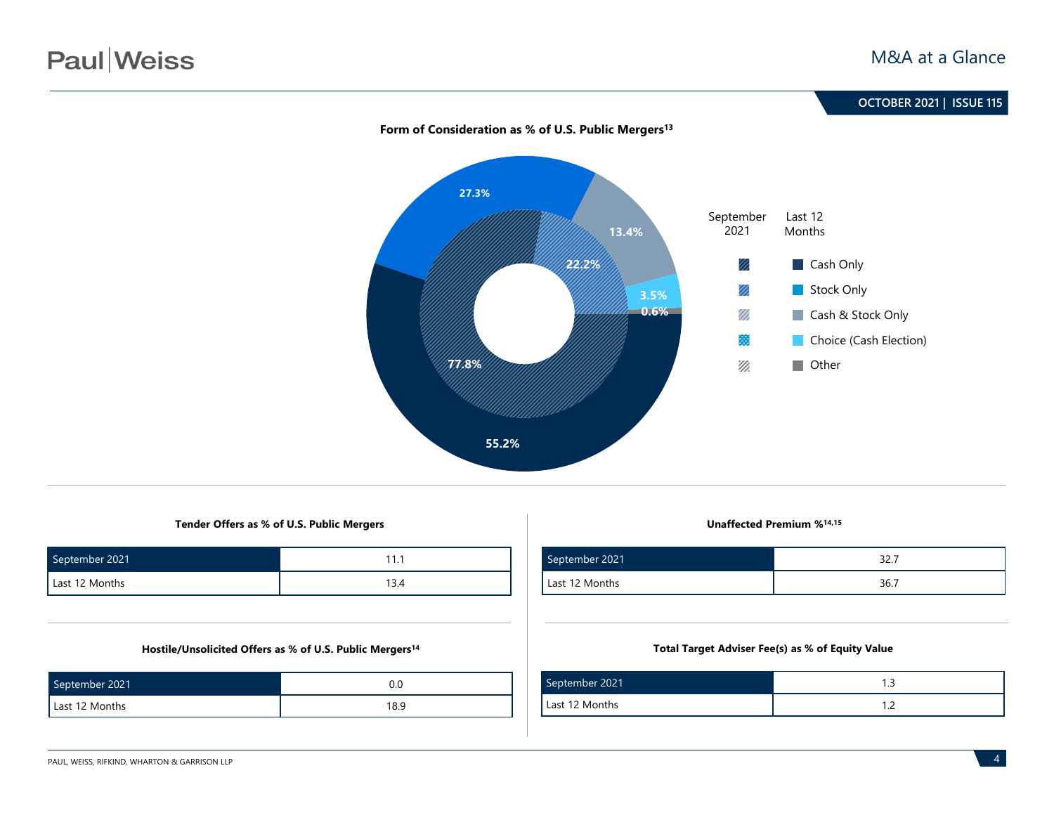

### **Tender Offers as % of U.S. Public Mergers Unaffected Premium %14,15**

| September 2021 |      |
|----------------|------|
| Last 12 Months | 13.4 |

### **Hostile/Unsolicited Offers as % of U.S. Public Mergers14**

| September 2021 |      |
|----------------|------|
| Last 12 Months | 18.9 |

| September 2021 | ، ے ر |
|----------------|-------|
| Last 12 Months | 36.7  |

### **Total Target Adviser Fee(s) as % of Equity Value**

| September 2021 | . |
|----------------|---|
| Last 12 Months |   |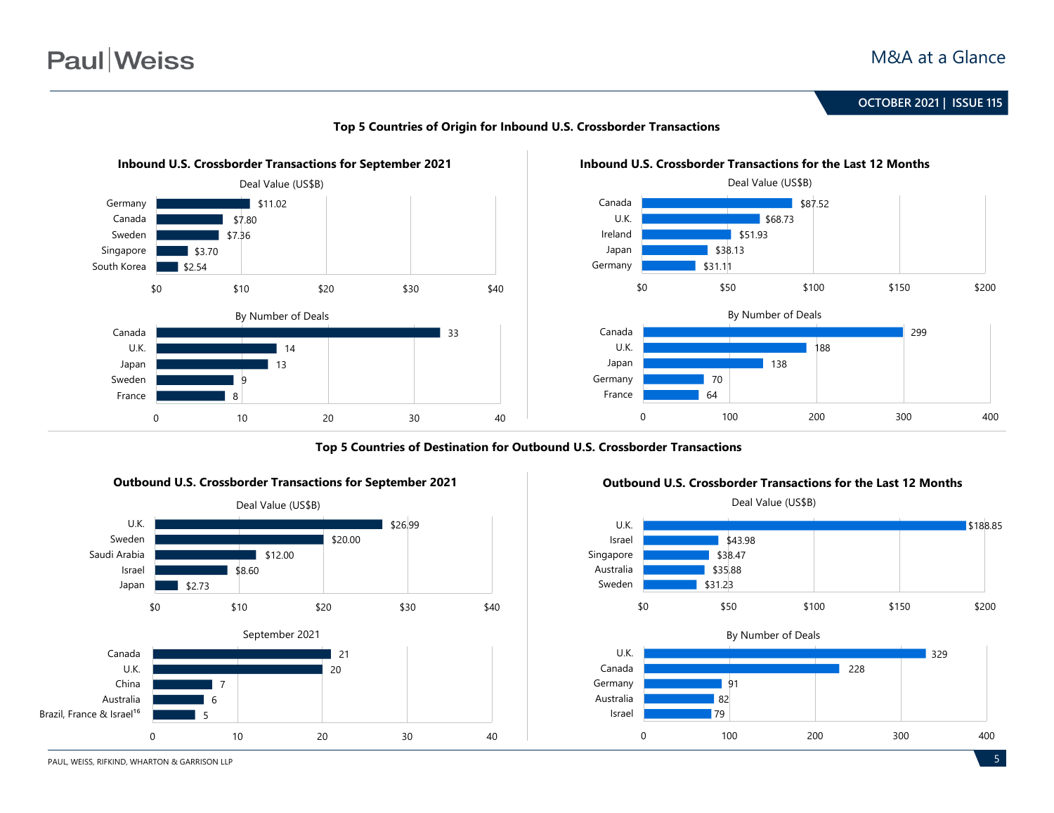





**Top 5 Countries of Destination for Outbound U.S. Crossborder Transactions**





#### **Outbound U.S. Crossborder Transactions for the Last 12 Months**

PAUL, WEISS, RIFKIND, WHARTON & GARRISON LLP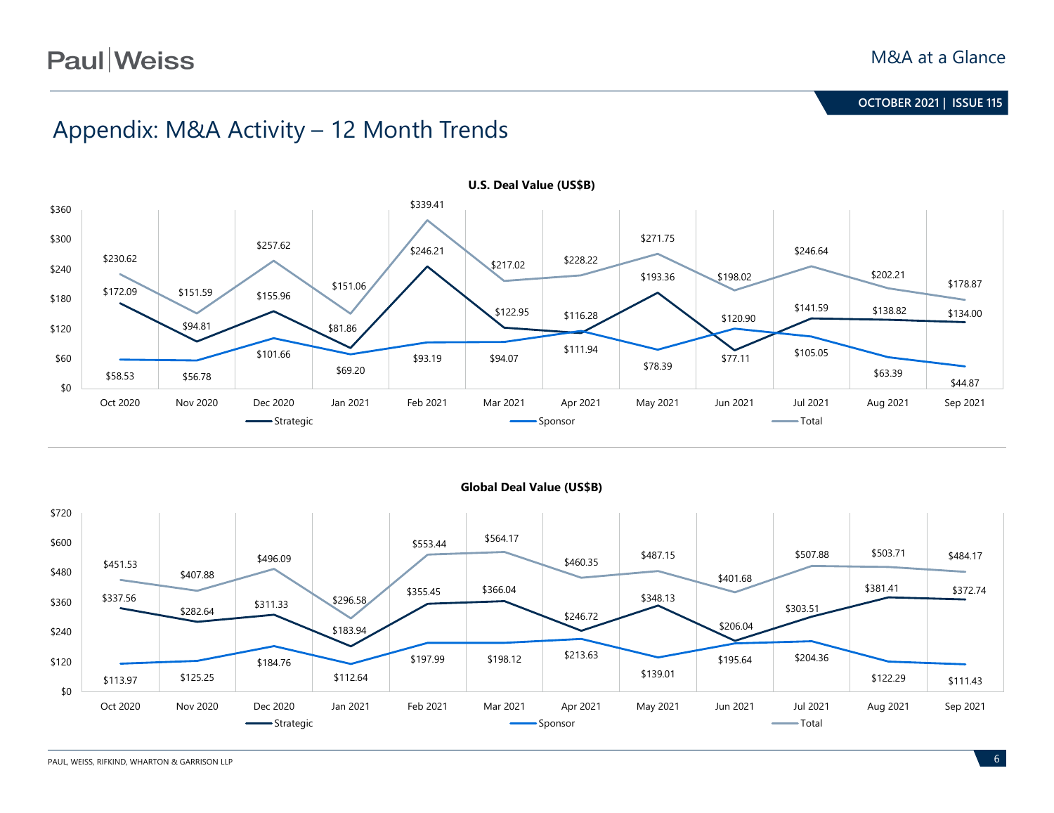# **Paul** Weiss

**June 2020 | ISSUE 99 OCTOBER 2021 | ISSUE 115**

# Appendix: M&A Activity – 12 Month Trends





**Global Deal Value (US\$B)**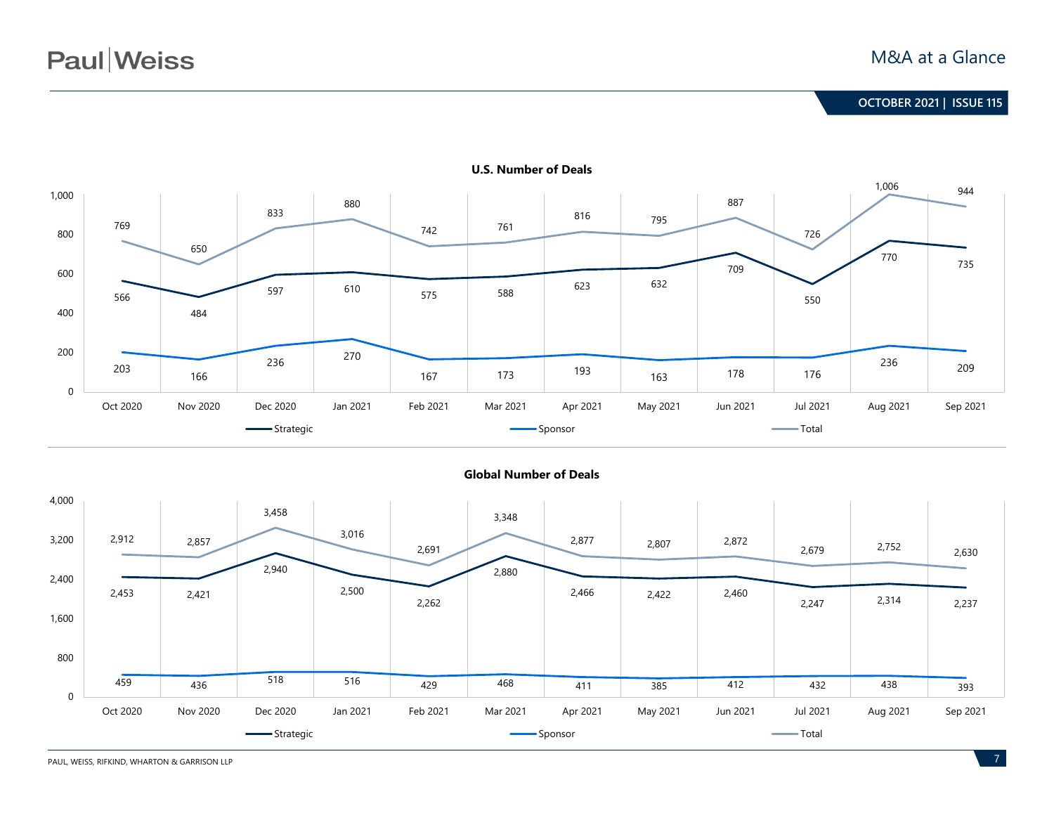

**U.S. Number of Deals**



### **Global Number of Deals**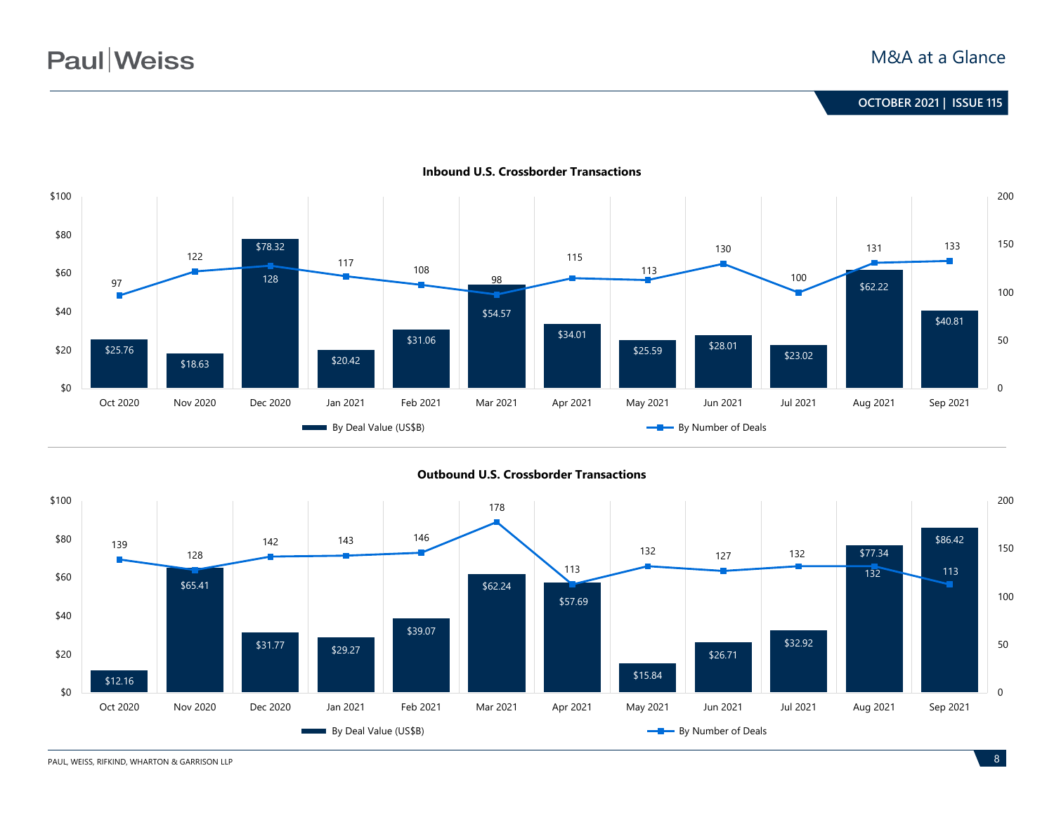

**Inbound U.S. Crossborder Transactions**



**Outbound U.S. Crossborder Transactions**

PAUL, WEISS, RIFKIND, WHARTON & GARRISON LLP **8**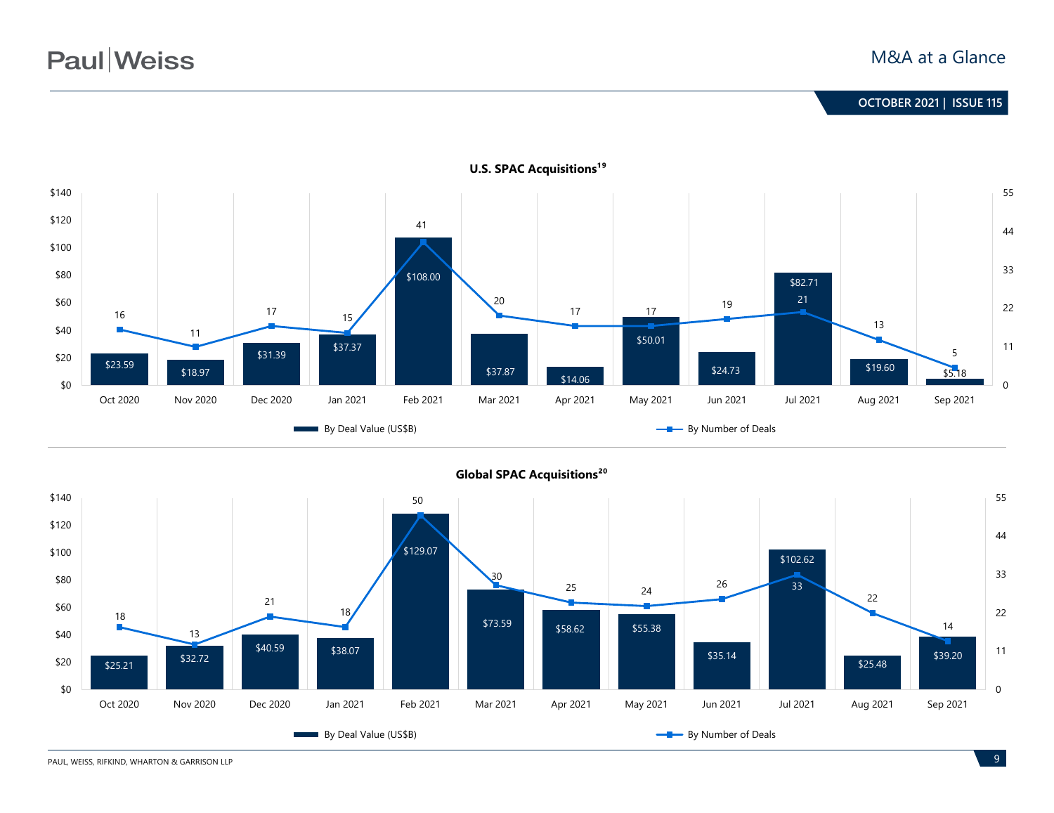

**U.S. SPAC Acquisitions<sup>19</sup>** 



PAUL, WEISS, RIFKIND, WHARTON & GARRISON LLP **9**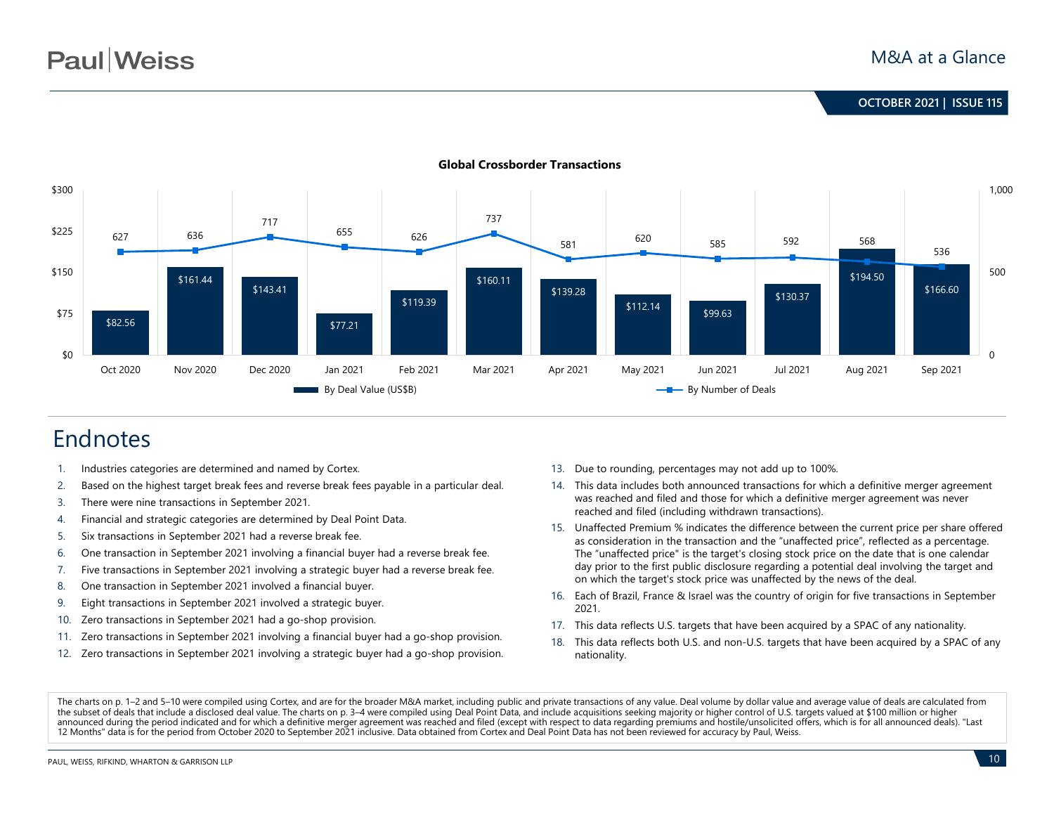

#### **Global Crossborder Transactions**

# Endnotes

- 1. Industries categories are determined and named by Cortex.
- 2. Based on the highest target break fees and reverse break fees payable in a particular deal.
- 3. There were nine transactions in September 2021.
- 4. Financial and strategic categories are determined by Deal Point Data.
- 5. Six transactions in September 2021 had a reverse break fee.
- 6. One transaction in September 2021 involving a financial buyer had a reverse break fee.
- 7. Five transactions in September 2021 involving a strategic buyer had a reverse break fee.
- 8. One transaction in September 2021 involved a financial buyer.
- 9. Eight transactions in September 2021 involved a strategic buyer.
- 10. Zero transactions in September 2021 had a go-shop provision.
- 11. Zero transactions in September 2021 involving a financial buyer had a go-shop provision.
- 12. Zero transactions in September 2021 involving a strategic buyer had a go-shop provision.
- 13. Due to rounding, percentages may not add up to 100%.
- 14. This data includes both announced transactions for which a definitive merger agreement was reached and filed and those for which a definitive merger agreement was never reached and filed (including withdrawn transactions).
- 15. Unaffected Premium % indicates the difference between the current price per share offered as consideration in the transaction and the "unaffected price", reflected as a percentage. The "unaffected price" is the target's closing stock price on the date that is one calendar day prior to the first public disclosure regarding a potential deal involving the target and on which the target's stock price was unaffected by the news of the deal.
- 16. Each of Brazil, France & Israel was the country of origin for five transactions in September 2021.
- 17. This data reflects U.S. targets that have been acquired by a SPAC of any nationality.
- 18. This data reflects both U.S. and non-U.S. targets that have been acquired by a SPAC of any nationality.

The charts on p. 1–2 and 5–10 were compiled using Cortex, and are for the broader M&A market, including public and private transactions of any value. Deal volume by dollar value and average value of deals are calculated fr the subset of deals that include a disclosed deal value. The charts on p. 3–4 were compiled using Deal Point Data, and include acquisitions seeking majority or higher control of U.S. targets valued at \$100 million or highe announced during the period indicated and for which a definitive merger agreement was reached and filed (except with respect to data regarding premiums and hostile/unsolicited offers, which is for all announced deals). "La 12 Months" data is for the period from October 2020 to September 2021 inclusive. Data obtained from Cortex and Deal Point Data has not been reviewed for accuracy by Paul, Weiss.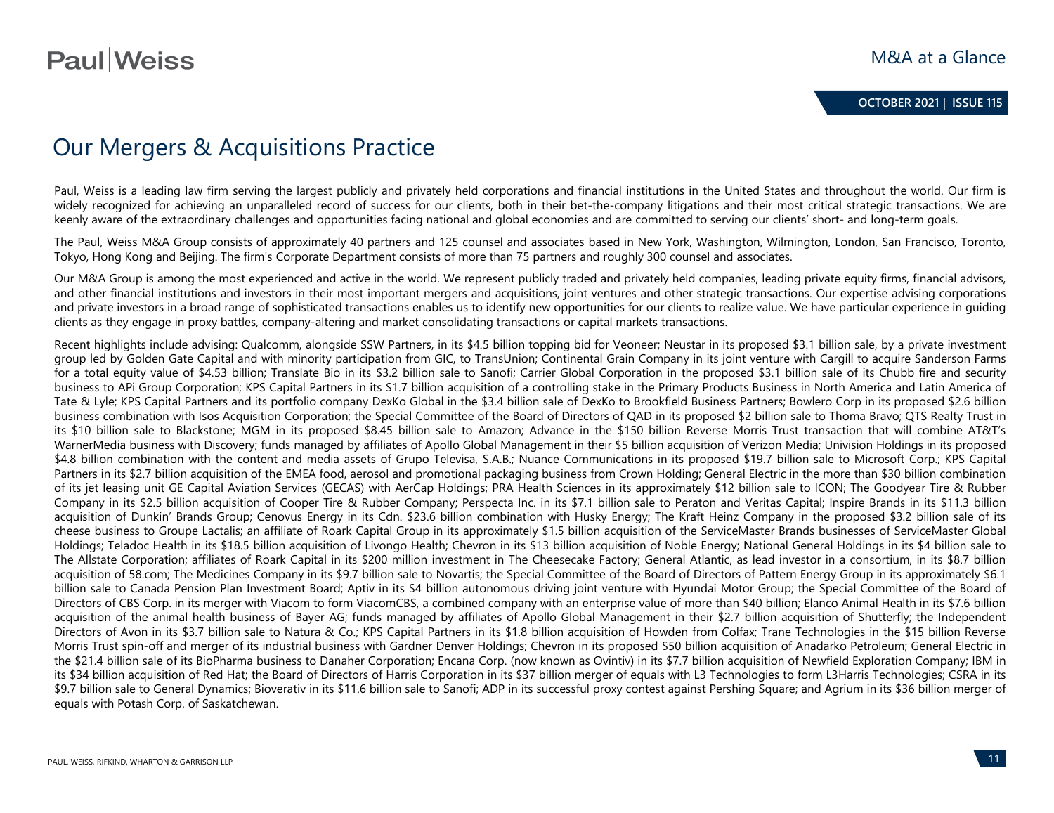# Our Mergers & Acquisitions Practice

Paul, Weiss is a leading law firm serving the largest publicly and privately held corporations and financial institutions in the United States and throughout the world. Our firm is widely recognized for achieving an unparalleled record of success for our clients, both in their bet-the-company litigations and their most critical strategic transactions. We are keenly aware of the extraordinary challenges and opportunities facing national and global economies and are committed to serving our clients' short- and long-term goals.

The Paul, Weiss M&A Group consists of approximately 40 partners and 125 counsel and associates based in New York, Washington, Wilmington, London, San Francisco, Toronto, Tokyo, Hong Kong and Beijing. The firm's Corporate Department consists of more than 75 partners and roughly 300 counsel and associates.

Our M&A Group is among the most experienced and active in the world. We represent publicly traded and privately held companies, leading private equity firms, financial advisors, and other financial institutions and investors in their most important mergers and acquisitions, joint ventures and other strategic transactions. Our expertise advising corporations and private investors in a broad range of sophisticated transactions enables us to identify new opportunities for our clients to realize value. We have particular experience in guiding clients as they engage in proxy battles, company-altering and market consolidating transactions or capital markets transactions.

Recent highlights include advising: Qualcomm, alongside SSW Partners, in its \$4.5 billion topping bid for Veoneer; Neustar in its proposed \$3.1 billion sale, by a private investment group led by Golden Gate Capital and with minority participation from GIC, to TransUnion; Continental Grain Company in its joint venture with Cargill to acquire Sanderson Farms for a total equity value of \$4.53 billion; Translate Bio in its \$3.2 billion sale to Sanofi; Carrier Global Corporation in the proposed \$3.1 billion sale of its Chubb fire and security business to APi Group Corporation; KPS Capital Partners in its \$1.7 billion acquisition of a controlling stake in the Primary Products Business in North America and Latin America of Tate & Lyle; KPS Capital Partners and its portfolio company DexKo Global in the \$3.4 billion sale of DexKo to Brookfield Business Partners; Bowlero Corp in its proposed \$2.6 billion business combination with Isos Acquisition Corporation; the Special Committee of the Board of Directors of QAD in its proposed \$2 billion sale to Thoma Bravo; QTS Realty Trust in its \$10 billion sale to Blackstone; MGM in its proposed \$8.45 billion sale to Amazon; Advance in the \$150 billion Reverse Morris Trust transaction that will combine AT&T's WarnerMedia business with Discovery; funds managed by affiliates of Apollo Global Management in their \$5 billion acquisition of Verizon Media; Univision Holdings in its proposed \$4.8 billion combination with the content and media assets of Grupo Televisa, S.A.B.; Nuance Communications in its proposed \$19.7 billion sale to Microsoft Corp.; KPS Capital Partners in its \$2.7 billion acquisition of the EMEA food, aerosol and promotional packaging business from Crown Holding; General Electric in the more than \$30 billion combination of its jet leasing unit GE Capital Aviation Services (GECAS) with AerCap Holdings; PRA Health Sciences in its approximately \$12 billion sale to ICON; The Goodyear Tire & Rubber Company in its \$2.5 billion acquisition of Cooper Tire & Rubber Company; Perspecta Inc. in its \$7.1 billion sale to Peraton and Veritas Capital; Inspire Brands in its \$11.3 billion acquisition of Dunkin' Brands Group; Cenovus Energy in its Cdn. \$23.6 billion combination with Husky Energy; The Kraft Heinz Company in the proposed \$3.2 billion sale of its cheese business to Groupe Lactalis; an affiliate of Roark Capital Group in its approximately \$1.5 billion acquisition of the ServiceMaster Brands businesses of ServiceMaster Global Holdings; Teladoc Health in its \$18.5 billion acquisition of Livongo Health; Chevron in its \$13 billion acquisition of Noble Energy; National General Holdings in its \$4 billion sale to The Allstate Corporation; affiliates of Roark Capital in its \$200 million investment in The Cheesecake Factory; General Atlantic, as lead investor in a consortium, in its \$8.7 billion acquisition of 58.com; The Medicines Company in its \$9.7 billion sale to Novartis; the Special Committee of the Board of Directors of Pattern Energy Group in its approximately \$6.1 billion sale to Canada Pension Plan Investment Board; Aptiv in its \$4 billion autonomous driving joint venture with Hyundai Motor Group; the Special Committee of the Board of Directors of CBS Corp. in its merger with Viacom to form ViacomCBS, a combined company with an enterprise value of more than \$40 billion; Elanco Animal Health in its \$7.6 billion acquisition of the animal health business of Bayer AG; funds managed by affiliates of Apollo Global Management in their \$2.7 billion acquisition of Shutterfly; the Independent Directors of Avon in its \$3.7 billion sale to Natura & Co.; KPS Capital Partners in its \$1.8 billion acquisition of Howden from Colfax; Trane Technologies in the \$15 billion Reverse Morris Trust spin-off and merger of its industrial business with Gardner Denver Holdings; Chevron in its proposed \$50 billion acquisition of Anadarko Petroleum; General Electric in the \$21.4 billion sale of its BioPharma business to Danaher Corporation; Encana Corp. (now known as Ovintiv) in its \$7.7 billion acquisition of Newfield Exploration Company; IBM in its \$34 billion acquisition of Red Hat; the Board of Directors of Harris Corporation in its \$37 billion merger of equals with L3 Technologies to form L3Harris Technologies; CSRA in its \$9.7 billion sale to General Dynamics; Bioverativ in its \$11.6 billion sale to Sanofi; ADP in its successful proxy contest against Pershing Square; and Agrium in its \$36 billion merger of equals with Potash Corp. of Saskatchewan.